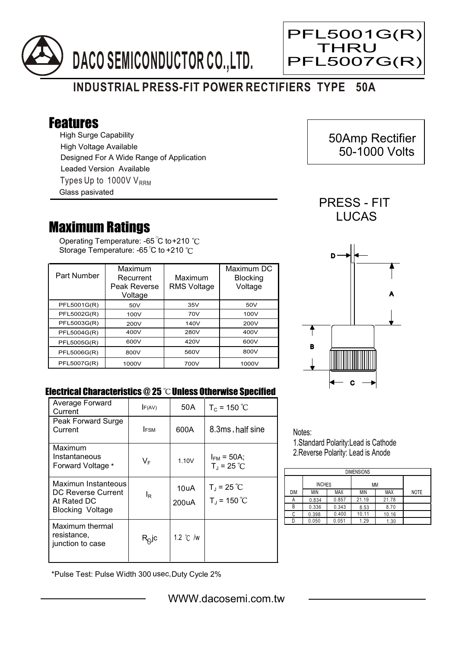



 50Amp Rectifier 50-1000 Volts

Ξ

## **INDUSTRIAL PRESS-FIT POWER RECTIFIERS TYPE 50A**

## Features

High Surge Capability Types Up to 1000V  $V_{RRM}$ High Voltage Available Designed For A Wide Range of Application Leaded Version Available Glass pasivated

## Maximum Ratings

Operating Temperature: -65 C to +210 Storage Temperature: -65 $\degree$ C to +210 $\degree$ C

| Part Number | Maximum<br>Recurrent<br>Peak Reverse<br>Voltage | Maximum<br><b>RMS Voltage</b> | Maximum DC<br><b>Blocking</b><br>Voltage |
|-------------|-------------------------------------------------|-------------------------------|------------------------------------------|
| PFL5001G(R) | 50V                                             | 35V                           | 50V                                      |
| PFL5002G(R) | 100V                                            | 70V                           | 100V                                     |
| PFL5003G(R) | 200V                                            | 140V                          | 200V                                     |
| PFL5004G(R) | 400V                                            | 280V                          | 400V                                     |
| PFL5005G(R) | 600V                                            | 420V                          | 600V                                     |
| PFL5006G(R) | 800V                                            | 560V                          | 800V                                     |
| PFL5007G(R) | 1000V                                           | 700V                          | 1000V                                    |



PRESS - FIT **LUCAS** 

## Electrical Characteristics @ 25 °C Unless Otherwise Specified

| Average Forward<br>Current                                                   | F(AV)          | 50 A               | $T_c = 150 °C$                          |
|------------------------------------------------------------------------------|----------------|--------------------|-----------------------------------------|
| Peak Forward Surge<br>Current                                                | <b>IFSM</b>    | 600A               | 8.3ms, half sine                        |
| Maximum<br>Instantaneous<br>Forward Voltage *                                | VF             | 1.10V              | $I_{FM}$ = 50A;<br>$T_{J}$ = 25 °C      |
| Maximun Instanteous<br>DC Reverse Current<br>At Rated DC<br>Blocking Voltage | l <sub>R</sub> | 10uA<br>200uA      | $T_{J}$ = 25 °C<br>$T_{\rm J}$ = 150 °C |
| Maximum thermal<br>resistance,<br>junction to case                           | $R_Q$ jc       | 1.2 $\degree$ C /w |                                         |

Notes:

1.Standard Polarity:Lead is Cathode 2.Reverse Polarity: Lead is Anode

| <b>DIMENSIONS</b> |               |       |       |            |             |  |  |  |
|-------------------|---------------|-------|-------|------------|-------------|--|--|--|
|                   | <b>INCHES</b> |       | МM    |            |             |  |  |  |
| <b>DIM</b>        | MIN           | MAX   | ΜIΝ   | <b>MAX</b> | <b>NOTE</b> |  |  |  |
| А                 | 0.834         | 0.857 | 21.19 | 21.78      |             |  |  |  |
| В                 | 0.336         | 0.343 | 8.53  | 8.70       |             |  |  |  |
| С                 | 0.398         | 0.400 | 10.11 | 10.16      |             |  |  |  |
|                   | 0.050         | 0.051 | 1.29  | 1.30       |             |  |  |  |

\*Pulse Test: Pulse Width 300 usec,Duty Cycle 2%